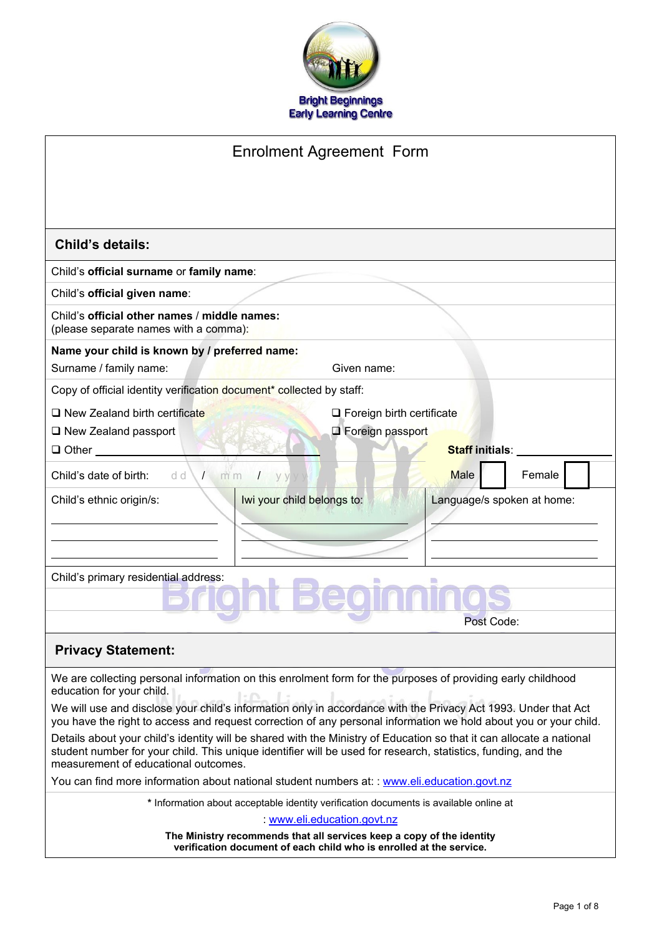

| <b>Enrolment Agreement Form</b>                                                                                                                                                                                                    |                                                                                       |  |  |
|------------------------------------------------------------------------------------------------------------------------------------------------------------------------------------------------------------------------------------|---------------------------------------------------------------------------------------|--|--|
|                                                                                                                                                                                                                                    |                                                                                       |  |  |
|                                                                                                                                                                                                                                    |                                                                                       |  |  |
| <b>Child's details:</b>                                                                                                                                                                                                            |                                                                                       |  |  |
| Child's official surname or family name:                                                                                                                                                                                           |                                                                                       |  |  |
| Child's official given name:                                                                                                                                                                                                       |                                                                                       |  |  |
| Child's official other names / middle names:<br>(please separate names with a comma):                                                                                                                                              |                                                                                       |  |  |
| Name your child is known by / preferred name:<br>Surname / family name:                                                                                                                                                            | Given name:                                                                           |  |  |
| Copy of official identity verification document* collected by staff:                                                                                                                                                               |                                                                                       |  |  |
| $\Box$ New Zealand birth certificate                                                                                                                                                                                               | $\Box$ Foreign birth certificate                                                      |  |  |
| $\Box$ New Zealand passport                                                                                                                                                                                                        | <b>Exercign passport</b>                                                              |  |  |
| $\Box$ Other                                                                                                                                                                                                                       | <b>Staff initials:</b>                                                                |  |  |
| Child's date of birth:<br>d d<br>m <sub>m</sub><br>$\sqrt{2}$<br>$I$ yyy                                                                                                                                                           | Female<br>Male                                                                        |  |  |
| Iwi your child belongs to:<br>Child's ethnic origin/s:                                                                                                                                                                             | Language/s spoken at home:                                                            |  |  |
|                                                                                                                                                                                                                                    |                                                                                       |  |  |
|                                                                                                                                                                                                                                    |                                                                                       |  |  |
| Child's primary residential address:                                                                                                                                                                                               |                                                                                       |  |  |
|                                                                                                                                                                                                                                    |                                                                                       |  |  |
|                                                                                                                                                                                                                                    | Post Code:                                                                            |  |  |
| <b>Privacy Statement:</b>                                                                                                                                                                                                          |                                                                                       |  |  |
| We are collecting personal information on this enrolment form for the purposes of providing early childhood                                                                                                                        |                                                                                       |  |  |
| education for your child.                                                                                                                                                                                                          |                                                                                       |  |  |
| We will use and disclose your child's information only in accordance with the Privacy Act 1993. Under that Act<br>you have the right to access and request correction of any personal information we hold about you or your child. |                                                                                       |  |  |
| Details about your child's identity will be shared with the Ministry of Education so that it can allocate a national                                                                                                               |                                                                                       |  |  |
| student number for your child. This unique identifier will be used for research, statistics, funding, and the<br>measurement of educational outcomes.                                                                              |                                                                                       |  |  |
| You can find more information about national student numbers at: : www.eli.education.govt.nz                                                                                                                                       |                                                                                       |  |  |
|                                                                                                                                                                                                                                    | * Information about acceptable identity verification documents is available online at |  |  |
|                                                                                                                                                                                                                                    | : www.eli.education.govt.nz                                                           |  |  |

**The Ministry recommends that all services keep a copy of the identity verification document of each child who is enrolled at the service.**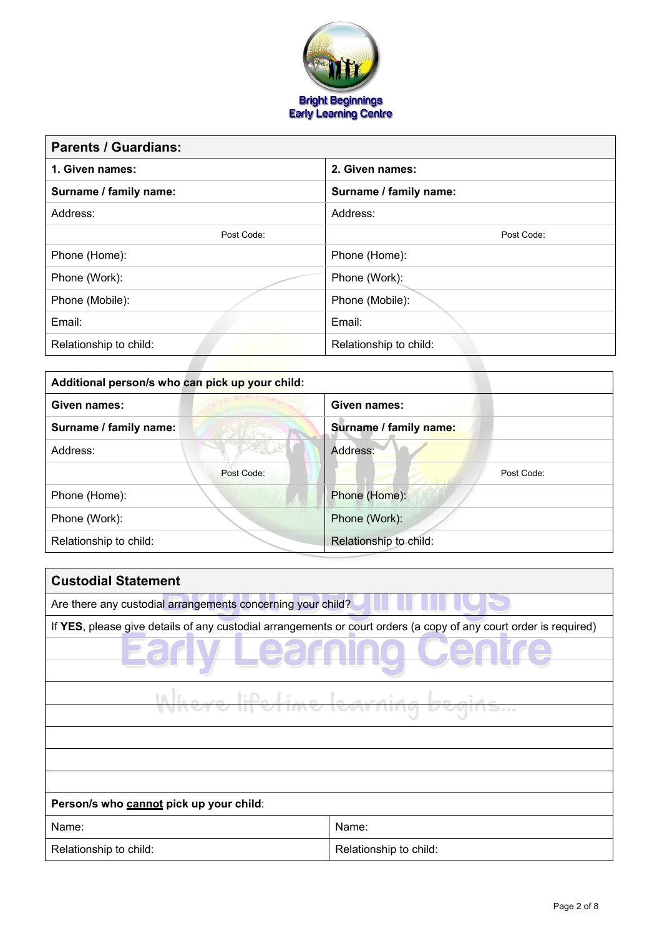

| <b>Parents / Guardians:</b> |                        |
|-----------------------------|------------------------|
| 1. Given names:             | 2. Given names:        |
| Surname / family name:      | Surname / family name: |
| Address:                    | Address:               |
| Post Code:                  | Post Code:             |
| Phone (Home):               | Phone (Home):          |
| Phone (Work):               | Phone (Work):          |
| Phone (Mobile):             | Phone (Mobile):        |
| Email:                      | Email:                 |
| Relationship to child:      | Relationship to child: |
|                             |                        |

| Additional person/s who can pick up your child: |            |                        |  |  |
|-------------------------------------------------|------------|------------------------|--|--|
| Given names:                                    |            | Given names:           |  |  |
| Surname / family name:                          |            | Surname / family name: |  |  |
| Address:                                        |            | Address:               |  |  |
|                                                 | Post Code: | Post Code:             |  |  |
| Phone (Home):                                   |            | Phone (Home):          |  |  |
| Phone (Work):                                   |            | Phone (Work):          |  |  |
| Relationship to child:                          |            | Relationship to child: |  |  |

| <b>Custodial Statement</b>                                                                                        |                        |  |  |
|-------------------------------------------------------------------------------------------------------------------|------------------------|--|--|
| Are there any custodial arrangements concerning your child?                                                       |                        |  |  |
| If YES, please give details of any custodial arrangements or court orders (a copy of any court order is required) |                        |  |  |
|                                                                                                                   |                        |  |  |
| <del>Line learning</del>                                                                                          |                        |  |  |
|                                                                                                                   |                        |  |  |
|                                                                                                                   |                        |  |  |
|                                                                                                                   |                        |  |  |
|                                                                                                                   |                        |  |  |
| Person/s who cannot pick up your child:                                                                           |                        |  |  |
| Name:                                                                                                             | Name:                  |  |  |
| Relationship to child:                                                                                            | Relationship to child: |  |  |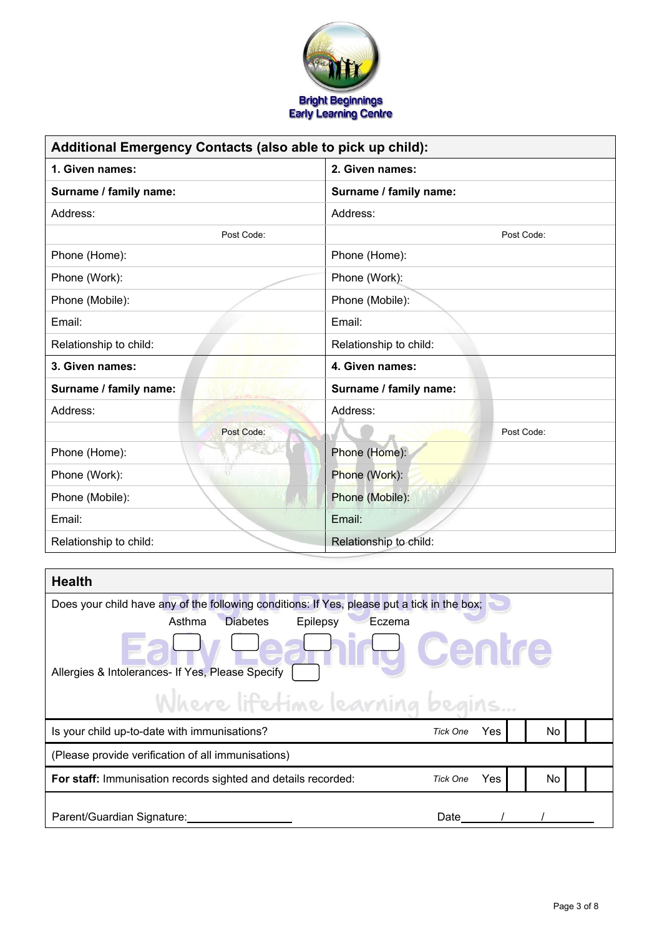

| Additional Emergency Contacts (also able to pick up child): |                        |  |  |
|-------------------------------------------------------------|------------------------|--|--|
| 1. Given names:<br>2. Given names:                          |                        |  |  |
| Surname / family name:                                      | Surname / family name: |  |  |
| Address:                                                    | Address:               |  |  |
| Post Code:                                                  | Post Code:             |  |  |
| Phone (Home):                                               | Phone (Home):          |  |  |
| Phone (Work):                                               | Phone (Work):          |  |  |
| Phone (Mobile):                                             | Phone (Mobile):        |  |  |
| Email:                                                      | Email:                 |  |  |
| Relationship to child:                                      | Relationship to child: |  |  |
| 3. Given names:                                             | 4. Given names:        |  |  |
| Surname / family name:                                      | Surname / family name: |  |  |
| Address:                                                    | Address:               |  |  |
| Post Code:                                                  | Post Code:             |  |  |
| Phone (Home):                                               | Phone (Home):          |  |  |
| Phone (Work):                                               | Phone (Work):          |  |  |
| Phone (Mobile):                                             | Phone (Mobile):        |  |  |
| Email:                                                      | Email:                 |  |  |
| Relationship to child:                                      | Relationship to child: |  |  |

| <b>Health</b>                                                                               |                 |      |     |  |
|---------------------------------------------------------------------------------------------|-----------------|------|-----|--|
| Does your child have any of the following conditions: If Yes, please put a tick in the box; |                 |      |     |  |
| <b>Diabetes</b><br>Asthma<br>Epilepsy<br>Eczema                                             |                 |      |     |  |
| Allergies & Intolerances- If Yes, Please Specify                                            | Centre          |      |     |  |
| Where lifetime learning begins                                                              |                 |      |     |  |
| Is your child up-to-date with immunisations?                                                | <b>Tick One</b> | Yes. | No. |  |
| (Please provide verification of all immunisations)                                          |                 |      |     |  |
| For staff: Immunisation records sighted and details recorded:                               | <b>Tick One</b> | Yes. | No. |  |
| Parent/Guardian Signature:                                                                  | Date            |      |     |  |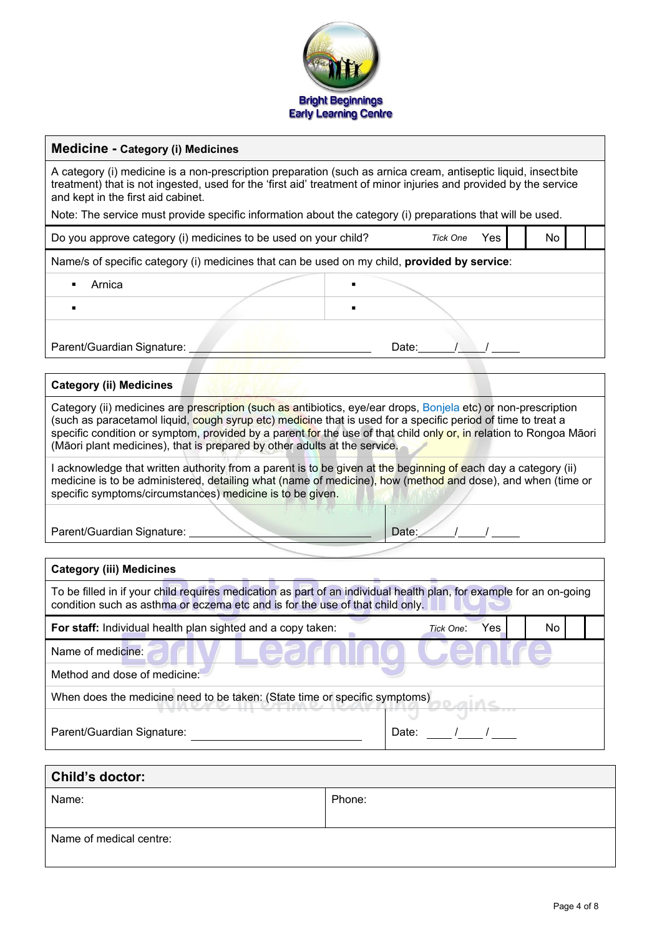

#### **Medicine - Category (i) Medicines**

A category (i) medicine is a non-prescription preparation (such as arnica cream, antiseptic liquid, insectbite treatment) that is not ingested, used for the 'first aid' treatment of minor injuries and provided by the service and kept in the first aid cabinet.

Note: The service must provide specific information about the category (i) preparations that will be used.

| Do you approve category (i) medicines to be used on your child?<br><b>Tick One</b>           |  |       |  |  |  | No |  |
|----------------------------------------------------------------------------------------------|--|-------|--|--|--|----|--|
| Name/s of specific category (i) medicines that can be used on my child, provided by service: |  |       |  |  |  |    |  |
| Arnica                                                                                       |  |       |  |  |  |    |  |
|                                                                                              |  |       |  |  |  |    |  |
| Parent/Guardian Signature:                                                                   |  | Date: |  |  |  |    |  |

# **Category (ii) Medicines** Category (ii) medicines are prescription (such as antibiotics, eye/ear drops, Bonjela etc) or non-prescription (such as paracetamol liquid, cough syrup etc) medicine that is used for a specific period of time to treat a specific condition or symptom, provided by a parent for the use of that child only or, in relation to Rongoa Māori (Māori plant medicines), that is prepared by other adults at the service.

I acknowledge that written authority from a parent is to be given at the beginning of each day a category (ii) medicine is to be administered, detailing what (name of medicine), how (method and dose), and when (time or specific symptoms/circumstances) medicine is to be given.

Parent/Guardian Signature: **Date: Date: Date: Date: Date: Date: Date: Date: Date: Date: Date: Date: Date: Date: Date: Date: Date: Date: Date: Date: Date: Date: Date: Date: Da** 

| <b>Category (iii) Medicines</b>                                                                                                                                                                      |                  |     |  |  |  |
|------------------------------------------------------------------------------------------------------------------------------------------------------------------------------------------------------|------------------|-----|--|--|--|
| To be filled in if your child requires medication as part of an individual health plan, for example for an on-going<br>condition such as asthma or eczema etc and is for the use of that child only. |                  |     |  |  |  |
| For staff: Individual health plan sighted and a copy taken:                                                                                                                                          | Yes<br>Tick One: | No. |  |  |  |
| Name of medicine:                                                                                                                                                                                    |                  |     |  |  |  |
| Method and dose of medicine:                                                                                                                                                                         |                  |     |  |  |  |
| When does the medicine need to be taken: (State time or specific symptoms)                                                                                                                           |                  |     |  |  |  |
|                                                                                                                                                                                                      |                  |     |  |  |  |
| Parent/Guardian Signature:<br>Date:                                                                                                                                                                  |                  |     |  |  |  |
|                                                                                                                                                                                                      |                  |     |  |  |  |

| Child's doctor:         |        |  |  |
|-------------------------|--------|--|--|
| Name:                   | Phone: |  |  |
| Name of medical centre: |        |  |  |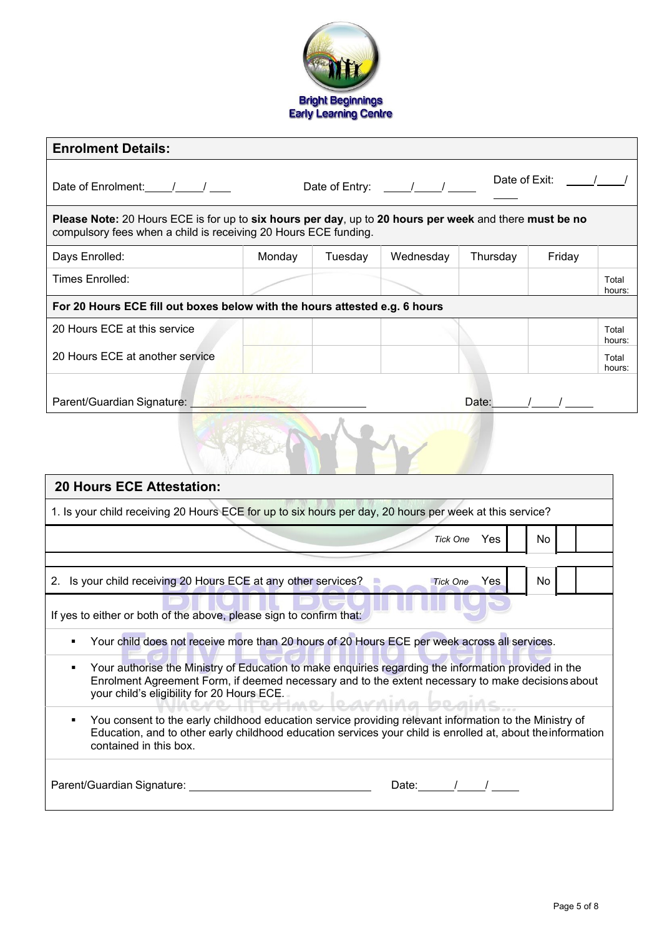

| <b>Enrolment Details:</b>                                                                                                                                                                                                                                                                                                                                                                                                                                                                                                                                                                                                                                                                                                                  |        |         |                                     |               |        |                 |
|--------------------------------------------------------------------------------------------------------------------------------------------------------------------------------------------------------------------------------------------------------------------------------------------------------------------------------------------------------------------------------------------------------------------------------------------------------------------------------------------------------------------------------------------------------------------------------------------------------------------------------------------------------------------------------------------------------------------------------------------|--------|---------|-------------------------------------|---------------|--------|-----------------|
|                                                                                                                                                                                                                                                                                                                                                                                                                                                                                                                                                                                                                                                                                                                                            |        |         | Date of Entry: $\frac{\sqrt{2}}{2}$ | Date of Exit: |        |                 |
| Please Note: 20 Hours ECE is for up to six hours per day, up to 20 hours per week and there must be no<br>compulsory fees when a child is receiving 20 Hours ECE funding.                                                                                                                                                                                                                                                                                                                                                                                                                                                                                                                                                                  |        |         |                                     |               |        |                 |
| Days Enrolled:                                                                                                                                                                                                                                                                                                                                                                                                                                                                                                                                                                                                                                                                                                                             | Monday | Tuesday | Wednesday                           | Thursday      | Friday |                 |
| Times Enrolled:                                                                                                                                                                                                                                                                                                                                                                                                                                                                                                                                                                                                                                                                                                                            |        |         |                                     |               |        | Total<br>hours: |
| For 20 Hours ECE fill out boxes below with the hours attested e.g. 6 hours                                                                                                                                                                                                                                                                                                                                                                                                                                                                                                                                                                                                                                                                 |        |         |                                     |               |        |                 |
| 20 Hours ECE at this service                                                                                                                                                                                                                                                                                                                                                                                                                                                                                                                                                                                                                                                                                                               |        |         |                                     |               |        | Total<br>hours: |
| 20 Hours ECE at another service                                                                                                                                                                                                                                                                                                                                                                                                                                                                                                                                                                                                                                                                                                            |        |         |                                     |               |        | Total<br>hours: |
| Parent/Guardian Signature:<br>Date: $/$ /                                                                                                                                                                                                                                                                                                                                                                                                                                                                                                                                                                                                                                                                                                  |        |         |                                     |               |        |                 |
| <b>20 Hours ECE Attestation:</b>                                                                                                                                                                                                                                                                                                                                                                                                                                                                                                                                                                                                                                                                                                           |        |         |                                     |               |        |                 |
| 1. Is your child receiving 20 Hours ECE for up to six hours per day, 20 hours per week at this service?                                                                                                                                                                                                                                                                                                                                                                                                                                                                                                                                                                                                                                    |        |         |                                     |               |        |                 |
|                                                                                                                                                                                                                                                                                                                                                                                                                                                                                                                                                                                                                                                                                                                                            |        |         | <b>Tick One</b>                     | Yes           | No     |                 |
| 2. Is your child receiving 20 Hours ECE at any other services?                                                                                                                                                                                                                                                                                                                                                                                                                                                                                                                                                                                                                                                                             |        |         | <b>Tick One</b>                     | Yes           | No     |                 |
| If yes to either or both of the above, please sign to confirm that:<br>Your child does not receive more than 20 hours of 20 Hours ECE per week across all services.<br>Your authorise the Ministry of Education to make enquiries regarding the information provided in the<br>٠<br>Enrolment Agreement Form, if deemed necessary and to the extent necessary to make decisions about<br>your child's eligibility for 20 Hours ECE.<br>Where Ittetime learning beging<br>You consent to the early childhood education service providing relevant information to the Ministry of<br>$\blacksquare$<br>Education, and to other early childhood education services your child is enrolled at, about the information<br>contained in this box. |        |         |                                     |               |        |                 |
|                                                                                                                                                                                                                                                                                                                                                                                                                                                                                                                                                                                                                                                                                                                                            |        |         | Date: $\sqrt{1-\frac{1}{2}}$        |               |        |                 |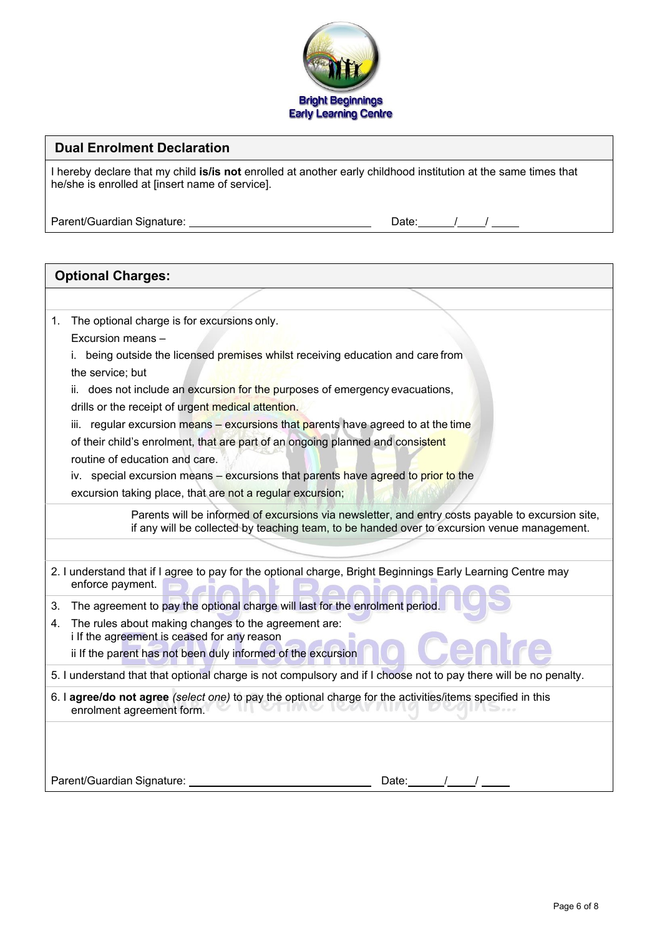

#### **Dual Enrolment Declaration**

I hereby declare that my child **is/is not** enrolled at another early childhood institution at the same times that he/she is enrolled at [insert name of service].

Parent/Guardian Signature: **Date: Date: Date: Date: Date: Date: Date: Date: Date: Date: Date: Date: Date: Date: Date: Date: Date: Date: Date: Date: Date: Date: Date: Date: Da** 

**Optional Charges:**

| J |  |
|---|--|
|   |  |

# 1. The optional charge is for excursions only. Excursion means – i. being outside the licensed premises whilst receiving education and care from the service; but ii. does not include an excursion for the purposes of emergency evacuations, drills or the receipt of urgent medical attention. iii. regular excursion means  $-$  excursions that parents have agreed to at the time of their child's enrolment, that are part of an ongoing planned and consistent routine of education and care. iv. special excursion means – excursions that parents have agreed to prior to the excursion taking place, that are not a regular excursion; Parents will be informed of excursions via newsletter, and entry costs payable to excursion site, if any will be collected by teaching team, to be handed over to excursion venue management. 2. I understand that if I agree to pay for the optional charge, Bright Beginnings Early Learning Centre may enforce payment. 3. The agreement to pay the optional charge will last for the enrolment period. 4. The rules about making changes to the agreement are: i If the agreement is ceased for any reason ii If the parent has not been duly informed of the excursion 5. I understand that that optional charge is not compulsory and if I choose not to pay there will be no penalty. 6. I **agree/do not agree** *(select one)* to pay the optional charge for the activities/items specified in this

enrolment agreement form.

Parent/Guardian Signature: Date: / /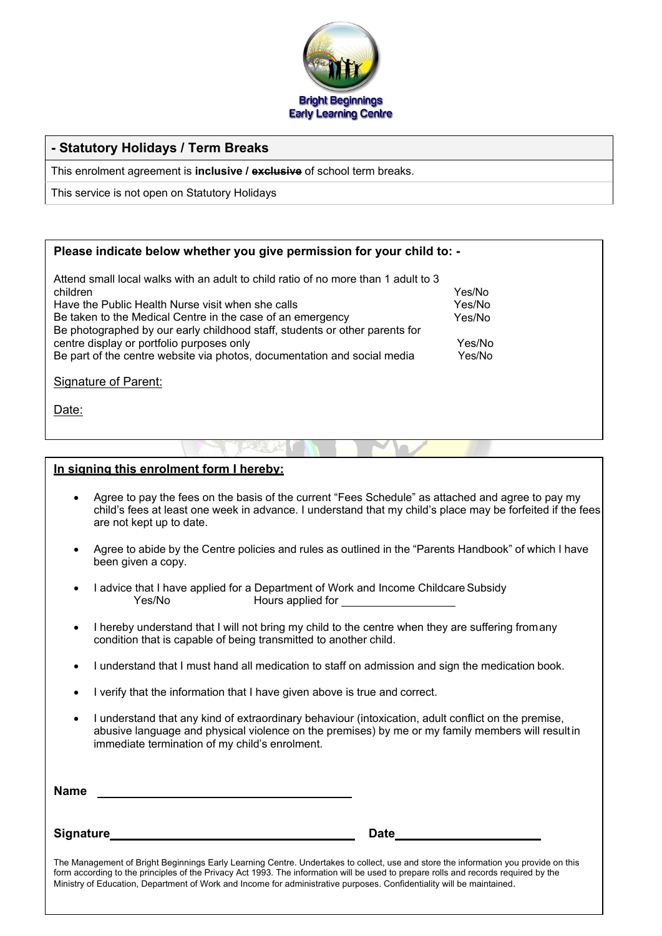

## **- Statutory Holidays / Term Breaks**

This enrolment agreement is **inclusive / exclusive** of school term breaks.

This service is not open on Statutory Holidays

#### **Please indicate below whether you give permission for your child to: -**

| Attend small local walks with an adult to child ratio of no more than 1 adult to 3 |        |
|------------------------------------------------------------------------------------|--------|
| children                                                                           | Yes/No |
| Have the Public Health Nurse visit when she calls                                  | Yes/No |
| Be taken to the Medical Centre in the case of an emergency                         | Yes/No |
| Be photographed by our early childhood staff, students or other parents for        |        |
| centre display or portfolio purposes only                                          | Yes/No |
| Be part of the centre website via photos, documentation and social media           | Yes/No |
| Signature of Parent:                                                               |        |
|                                                                                    |        |
| Date:                                                                              |        |

#### **In signing this enrolment form I hereby:**

- Agree to pay the fees on the basis of the current "Fees Schedule" as attached and agree to pay my child's fees at least one week in advance. I understand that my child's place may be forfeited if the fees are not kept up to date.
- Agree to abide by the Centre policies and rules as outlined in the "Parents Handbook" of which I have been given a copy.
- I advice that I have applied for a Department of Work and Income Childcare Subsidy<br>Yes/No Bours applied for Hours applied for the state of the state of the state of the state of the state of the state of the state of the state of the state of the state of the state of the state of the state of the state of the state of the state
- I hereby understand that I will not bring my child to the centre when they are suffering fromany condition that is capable of being transmitted to another child.
- I understand that I must hand all medication to staff on admission and sign the medication book.
- I verify that the information that I have given above is true and correct.
- I understand that any kind of extraordinary behaviour (intoxication, adult conflict on the premise, abusive language and physical violence on the premises) by me or my family members will resultin immediate termination of my child's enrolment.

| <b>Name</b>                                                                                                                                                                                                                                                                |             |  |
|----------------------------------------------------------------------------------------------------------------------------------------------------------------------------------------------------------------------------------------------------------------------------|-------------|--|
| <b>Signature</b>                                                                                                                                                                                                                                                           | <b>Date</b> |  |
| The Management of Bright Beginnings Early Learning Centre. Undertakes to collect, use and store the information you provide on this<br>form according to the principles of the Privacy Act 1003. The information will be used to prepare rolls and records required by the |             |  |

form according to the principles of the Privacy Act 1993. The information will be used to prepare rolls and records required by the Ministry of Education, Department of Work and Income for administrative purposes. Confidentiality will be maintained.